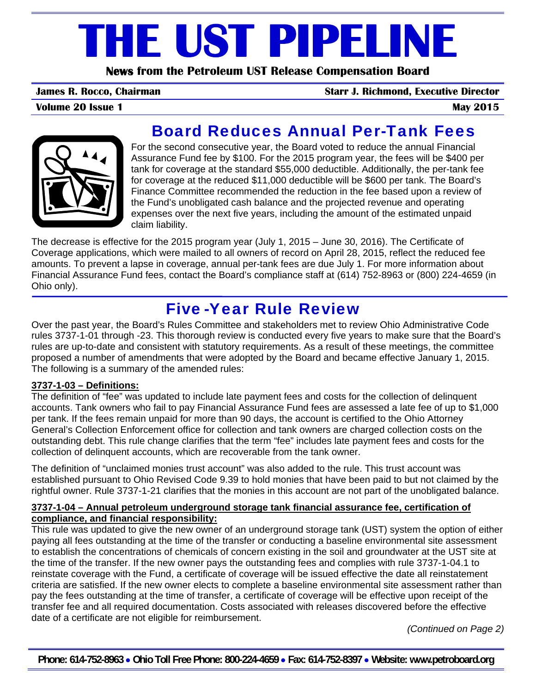# **THE UST PIPELINE**

**News from the Petroleum UST Release Compensation Board** 

**James R. Rocco, Chairman Starr J. Richmond, Executive Director**

**Volume 20 Issue 1** May 2015



## Board Reduces Annual Per-Tank Fees

For the second consecutive year, the Board voted to reduce the annual Financial Assurance Fund fee by \$100. For the 2015 program year, the fees will be \$400 per tank for coverage at the standard \$55,000 deductible. Additionally, the per-tank fee for coverage at the reduced \$11,000 deductible will be \$600 per tank. The Board's Finance Committee recommended the reduction in the fee based upon a review of the Fund's unobligated cash balance and the projected revenue and operating expenses over the next five years, including the amount of the estimated unpaid claim liability.

The decrease is effective for the 2015 program year (July 1, 2015 – June 30, 2016). The Certificate of Coverage applications, which were mailed to all owners of record on April 28, 2015, reflect the reduced fee amounts. To prevent a lapse in coverage, annual per-tank fees are due July 1. For more information about Financial Assurance Fund fees, contact the Board's compliance staff at (614) 752-8963 or (800) 224-4659 (in Ohio only).

## Five-Year Rule Review

Over the past year, the Board's Rules Committee and stakeholders met to review Ohio Administrative Code rules 3737-1-01 through -23. This thorough review is conducted every five years to make sure that the Board's rules are up-to-date and consistent with statutory requirements. As a result of these meetings, the committee proposed a number of amendments that were adopted by the Board and became effective January 1, 2015. The following is a summary of the amended rules:

#### **3737-1-03 – Definitions:**

The definition of "fee" was updated to include late payment fees and costs for the collection of delinquent accounts. Tank owners who fail to pay Financial Assurance Fund fees are assessed a late fee of up to \$1,000 per tank. If the fees remain unpaid for more than 90 days, the account is certified to the Ohio Attorney General's Collection Enforcement office for collection and tank owners are charged collection costs on the outstanding debt. This rule change clarifies that the term "fee" includes late payment fees and costs for the collection of delinquent accounts, which are recoverable from the tank owner.

The definition of "unclaimed monies trust account" was also added to the rule. This trust account was established pursuant to Ohio Revised Code 9.39 to hold monies that have been paid to but not claimed by the rightful owner. Rule 3737-1-21 clarifies that the monies in this account are not part of the unobligated balance.

#### **3737-1-04 – Annual petroleum underground storage tank financial assurance fee, certification of compliance, and financial responsibility:**

This rule was updated to give the new owner of an underground storage tank (UST) system the option of either paying all fees outstanding at the time of the transfer or conducting a baseline environmental site assessment to establish the concentrations of chemicals of concern existing in the soil and groundwater at the UST site at the time of the transfer. If the new owner pays the outstanding fees and complies with rule 3737-1-04.1 to reinstate coverage with the Fund, a certificate of coverage will be issued effective the date all reinstatement criteria are satisfied. If the new owner elects to complete a baseline environmental site assessment rather than pay the fees outstanding at the time of transfer, a certificate of coverage will be effective upon receipt of the transfer fee and all required documentation. Costs associated with releases discovered before the effective date of a certificate are not eligible for reimbursement.

*(Continued on Page 2)* 

**Phone: 614-752-8963** • **Ohio Toll Free Phone: 800-224-4659** • **Fax: 614-752-8397** • **Website: www.petroboard.org**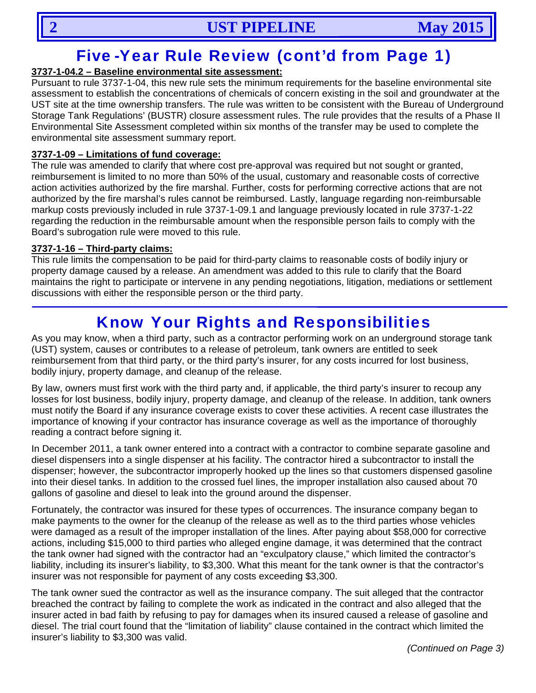## Five-Year Rule Review (cont'd from Page 1)

### **3737-1-04.2 – Baseline environmental site assessment:**

Pursuant to rule 3737-1-04, this new rule sets the minimum requirements for the baseline environmental site assessment to establish the concentrations of chemicals of concern existing in the soil and groundwater at the UST site at the time ownership transfers. The rule was written to be consistent with the Bureau of Underground Storage Tank Regulations' (BUSTR) closure assessment rules. The rule provides that the results of a Phase II Environmental Site Assessment completed within six months of the transfer may be used to complete the environmental site assessment summary report.

#### **3737-1-09 – Limitations of fund coverage:**

The rule was amended to clarify that where cost pre-approval was required but not sought or granted, reimbursement is limited to no more than 50% of the usual, customary and reasonable costs of corrective action activities authorized by the fire marshal. Further, costs for performing corrective actions that are not authorized by the fire marshal's rules cannot be reimbursed. Lastly, language regarding non-reimbursable markup costs previously included in rule 3737-1-09.1 and language previously located in rule 3737-1-22 regarding the reduction in the reimbursable amount when the responsible person fails to comply with the Board's subrogation rule were moved to this rule.

#### **3737-1-16 – Third-party claims:**

This rule limits the compensation to be paid for third-party claims to reasonable costs of bodily injury or property damage caused by a release. An amendment was added to this rule to clarify that the Board maintains the right to participate or intervene in any pending negotiations, litigation, mediations or settlement discussions with either the responsible person or the third party.

## Know Your Rights and Responsibilities

As you may know, when a third party, such as a contractor performing work on an underground storage tank (UST) system, causes or contributes to a release of petroleum, tank owners are entitled to seek reimbursement from that third party, or the third party's insurer, for any costs incurred for lost business, bodily injury, property damage, and cleanup of the release.

By law, owners must first work with the third party and, if applicable, the third party's insurer to recoup any losses for lost business, bodily injury, property damage, and cleanup of the release. In addition, tank owners must notify the Board if any insurance coverage exists to cover these activities. A recent case illustrates the importance of knowing if your contractor has insurance coverage as well as the importance of thoroughly reading a contract before signing it.

In December 2011, a tank owner entered into a contract with a contractor to combine separate gasoline and diesel dispensers into a single dispenser at his facility. The contractor hired a subcontractor to install the dispenser; however, the subcontractor improperly hooked up the lines so that customers dispensed gasoline into their diesel tanks. In addition to the crossed fuel lines, the improper installation also caused about 70 gallons of gasoline and diesel to leak into the ground around the dispenser.

Fortunately, the contractor was insured for these types of occurrences. The insurance company began to make payments to the owner for the cleanup of the release as well as to the third parties whose vehicles were damaged as a result of the improper installation of the lines. After paying about \$58,000 for corrective actions, including \$15,000 to third parties who alleged engine damage, it was determined that the contract the tank owner had signed with the contractor had an "exculpatory clause," which limited the contractor's liability, including its insurer's liability, to \$3,300. What this meant for the tank owner is that the contractor's insurer was not responsible for payment of any costs exceeding \$3,300.

The tank owner sued the contractor as well as the insurance company. The suit alleged that the contractor breached the contract by failing to complete the work as indicated in the contract and also alleged that the insurer acted in bad faith by refusing to pay for damages when its insured caused a release of gasoline and diesel. The trial court found that the "limitation of liability" clause contained in the contract which limited the insurer's liability to \$3,300 was valid.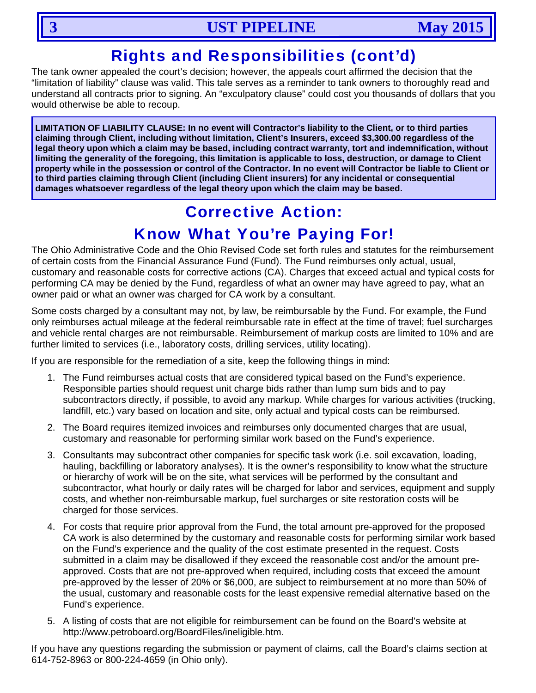## Rights and Responsibilities (cont'd)

The tank owner appealed the court's decision; however, the appeals court affirmed the decision that the "limitation of liability" clause was valid. This tale serves as a reminder to tank owners to thoroughly read and understand all contracts prior to signing. An "exculpatory clause" could cost you thousands of dollars that you would otherwise be able to recoup.

**LIMITATION OF LIABILITY CLAUSE: In no event will Contractor's liability to the Client, or to third parties claiming through Client, including without limitation, Client's Insurers, exceed \$3,300.00 regardless of the legal theory upon which a claim may be based, including contract warranty, tort and indemnification, without limiting the generality of the foregoing, this limitation is applicable to loss, destruction, or damage to Client property while in the possession or control of the Contractor. In no event will Contractor be liable to Client or to third parties claiming through Client (including Client insurers) for any incidental or consequential damages whatsoever regardless of the legal theory upon which the claim may be based.**

## Corrective Action: Know What You're Paying For!

The Ohio Administrative Code and the Ohio Revised Code set forth rules and statutes for the reimbursement of certain costs from the Financial Assurance Fund (Fund). The Fund reimburses only actual, usual, customary and reasonable costs for corrective actions (CA). Charges that exceed actual and typical costs for performing CA may be denied by the Fund, regardless of what an owner may have agreed to pay, what an owner paid or what an owner was charged for CA work by a consultant.

Some costs charged by a consultant may not, by law, be reimbursable by the Fund. For example, the Fund only reimburses actual mileage at the federal reimbursable rate in effect at the time of travel; fuel surcharges and vehicle rental charges are not reimbursable. Reimbursement of markup costs are limited to 10% and are further limited to services (i.e., laboratory costs, drilling services, utility locating).

If you are responsible for the remediation of a site, keep the following things in mind:

- 1. The Fund reimburses actual costs that are considered typical based on the Fund's experience. Responsible parties should request unit charge bids rather than lump sum bids and to pay subcontractors directly, if possible, to avoid any markup. While charges for various activities (trucking, landfill, etc.) vary based on location and site, only actual and typical costs can be reimbursed.
- 2. The Board requires itemized invoices and reimburses only documented charges that are usual, customary and reasonable for performing similar work based on the Fund's experience.
- 3. Consultants may subcontract other companies for specific task work (i.e. soil excavation, loading, hauling, backfilling or laboratory analyses). It is the owner's responsibility to know what the structure or hierarchy of work will be on the site, what services will be performed by the consultant and subcontractor, what hourly or daily rates will be charged for labor and services, equipment and supply costs, and whether non-reimbursable markup, fuel surcharges or site restoration costs will be charged for those services.
- 4. For costs that require prior approval from the Fund, the total amount pre-approved for the proposed CA work is also determined by the customary and reasonable costs for performing similar work based on the Fund's experience and the quality of the cost estimate presented in the request. Costs submitted in a claim may be disallowed if they exceed the reasonable cost and/or the amount preapproved. Costs that are not pre-approved when required, including costs that exceed the amount pre-approved by the lesser of 20% or \$6,000, are subject to reimbursement at no more than 50% of the usual, customary and reasonable costs for the least expensive remedial alternative based on the Fund's experience.
- 5. A listing of costs that are not eligible for reimbursement can be found on the Board's website at http://www.petroboard.org/BoardFiles/ineligible.htm.

If you have any questions regarding the submission or payment of claims, call the Board's claims section at 614-752-8963 or 800-224-4659 (in Ohio only).